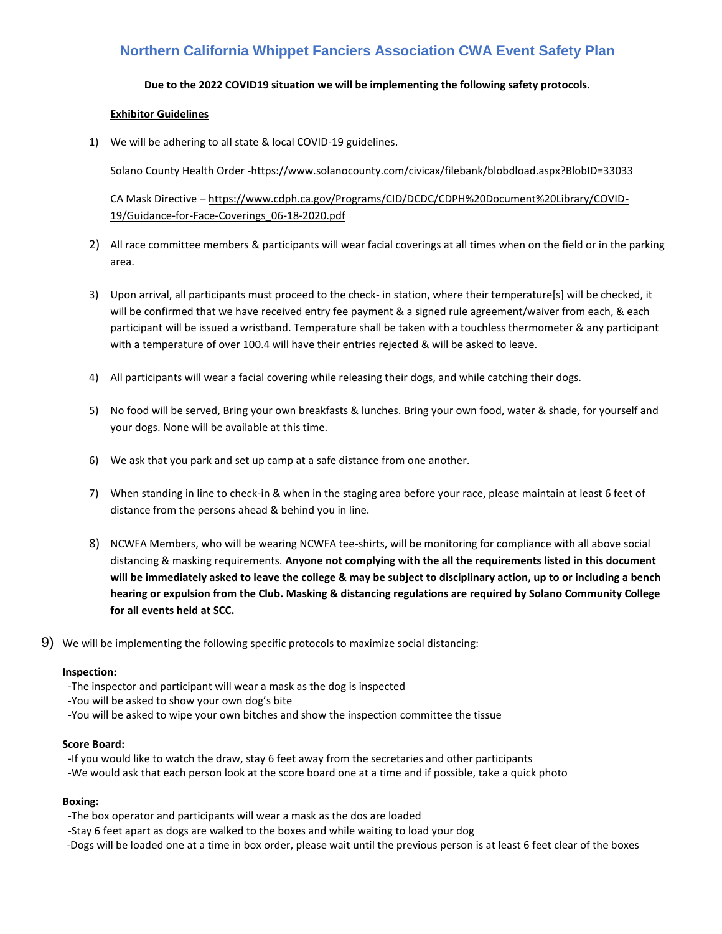# **Northern California Whippet Fanciers Association CWA Event Safety Plan**

## **Due to the 2022 COVID19 situation we will be implementing the following safety protocols.**

### **Exhibitor Guidelines**

1) We will be adhering to all state & local COVID-19 guidelines.

Solano County Health Order -https://www.solanocounty.com/civicax/filebank/blobdload.aspx?BlobID=33033

CA Mask Directive – https://www.cdph.ca.gov/Programs/CID/DCDC/CDPH%20Document%20Library/COVID-19/Guidance-for-Face-Coverings\_06-18-2020.pdf

- 2) All race committee members & participants will wear facial coverings at all times when on the field or in the parking area.
- 3) Upon arrival, all participants must proceed to the check- in station, where their temperature[s] will be checked, it will be confirmed that we have received entry fee payment & a signed rule agreement/waiver from each, & each participant will be issued a wristband. Temperature shall be taken with a touchless thermometer & any participant with a temperature of over 100.4 will have their entries rejected & will be asked to leave.
- 4) All participants will wear a facial covering while releasing their dogs, and while catching their dogs.
- 5) No food will be served, Bring your own breakfasts & lunches. Bring your own food, water & shade, for yourself and your dogs. None will be available at this time.
- 6) We ask that you park and set up camp at a safe distance from one another.
- 7) When standing in line to check-in & when in the staging area before your race, please maintain at least 6 feet of distance from the persons ahead & behind you in line.
- 8) NCWFA Members, who will be wearing NCWFA tee-shirts, will be monitoring for compliance with all above social distancing & masking requirements. **Anyone not complying with the all the requirements listed in this document will be immediately asked to leave the college & may be subject to disciplinary action, up to or including a bench hearing or expulsion from the Club. Masking & distancing regulations are required by Solano Community College for all events held at SCC.**
- 9) We will be implementing the following specific protocols to maximize social distancing:

#### **Inspection:**

-The inspector and participant will wear a mask as the dog is inspected

-You will be asked to show your own dog's bite

-You will be asked to wipe your own bitches and show the inspection committee the tissue

#### **Score Board:**

-If you would like to watch the draw, stay 6 feet away from the secretaries and other participants

-We would ask that each person look at the score board one at a time and if possible, take a quick photo

# **Boxing:**

-The box operator and participants will wear a mask as the dos are loaded

-Stay 6 feet apart as dogs are walked to the boxes and while waiting to load your dog

-Dogs will be loaded one at a time in box order, please wait until the previous person is at least 6 feet clear of the boxes